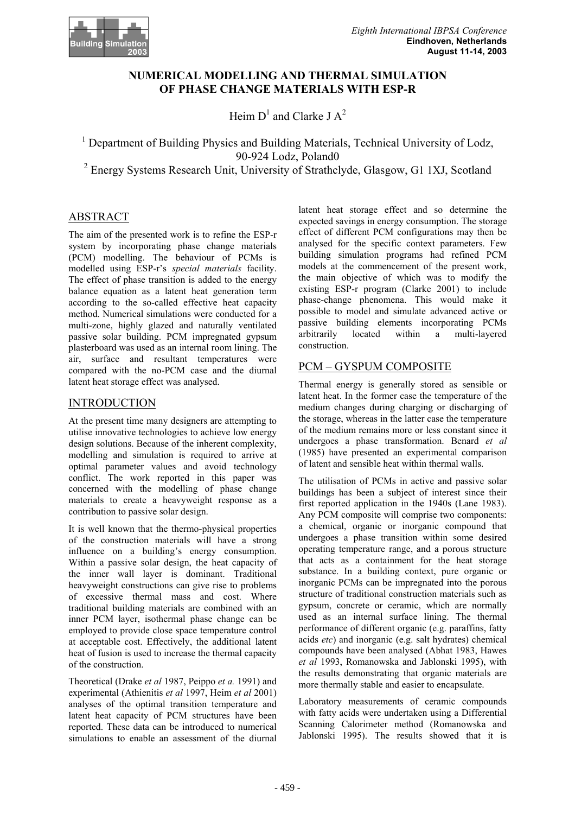

## **NUMERICAL MODELLING AND THERMAL SIMULATION OF PHASE CHANGE MATERIALS WITH ESP-R**

Heim  $D^1$  and Clarke J  $A^2$ 

<sup>1</sup> Department of Building Physics and Building Materials, Technical University of Lodz, 90-924 Lodz, Poland0

<sup>2</sup> Energy Systems Research Unit, University of Strathclyde, Glasgow, G1 1XJ, Scotland

# ABSTRACT

The aim of the presented work is to refine the ESP-r system by incorporating phase change materials (PCM) modelling. The behaviour of PCMs is modelled using ESP-r's *special materials* facility. The effect of phase transition is added to the energy balance equation as a latent heat generation term according to the so-called effective heat capacity method. Numerical simulations were conducted for a multi-zone, highly glazed and naturally ventilated passive solar building. PCM impregnated gypsum plasterboard was used as an internal room lining. The air, surface and resultant temperatures were compared with the no-PCM case and the diurnal latent heat storage effect was analysed.

## INTRODUCTION

At the present time many designers are attempting to utilise innovative technologies to achieve low energy design solutions. Because of the inherent complexity, modelling and simulation is required to arrive at optimal parameter values and avoid technology conflict. The work reported in this paper was concerned with the modelling of phase change materials to create a heavyweight response as a contribution to passive solar design.

It is well known that the thermo-physical properties of the construction materials will have a strong influence on a building's energy consumption. Within a passive solar design, the heat capacity of the inner wall layer is dominant. Traditional heavyweight constructions can give rise to problems of excessive thermal mass and cost. Where traditional building materials are combined with an inner PCM layer, isothermal phase change can be employed to provide close space temperature control at acceptable cost. Effectively, the additional latent heat of fusion is used to increase the thermal capacity of the construction.

Theoretical (Drake *et al* 1987, Peippo *et a.* 1991) and experimental (Athienitis *et al* 1997, Heim *et al* 2001) analyses of the optimal transition temperature and latent heat capacity of PCM structures have been reported. These data can be introduced to numerical simulations to enable an assessment of the diurnal latent heat storage effect and so determine the expected savings in energy consumption. The storage effect of different PCM configurations may then be analysed for the specific context parameters. Few building simulation programs had refined PCM models at the commencement of the present work, the main objective of which was to modify the existing ESP-r program (Clarke 2001) to include phase-change phenomena. This would make it possible to model and simulate advanced active or passive building elements incorporating PCMs arbitrarily located within a multi-layered construction.

## PCM – GYSPUM COMPOSITE

Thermal energy is generally stored as sensible or latent heat. In the former case the temperature of the medium changes during charging or discharging of the storage, whereas in the latter case the temperature of the medium remains more or less constant since it undergoes a phase transformation. Benard *et al* (1985) have presented an experimental comparison of latent and sensible heat within thermal walls.

The utilisation of PCMs in active and passive solar buildings has been a subject of interest since their first reported application in the 1940s (Lane 1983). Any PCM composite will comprise two components: a chemical, organic or inorganic compound that undergoes a phase transition within some desired operating temperature range, and a porous structure that acts as a containment for the heat storage substance. In a building context, pure organic or inorganic PCMs can be impregnated into the porous structure of traditional construction materials such as gypsum, concrete or ceramic, which are normally used as an internal surface lining. The thermal performance of different organic (e.g. paraffins, fatty acids *etc*) and inorganic (e.g. salt hydrates) chemical compounds have been analysed (Abhat 1983, Hawes *et al* 1993, Romanowska and Jablonski 1995), with the results demonstrating that organic materials are more thermally stable and easier to encapsulate.

Laboratory measurements of ceramic compounds with fatty acids were undertaken using a Differential Scanning Calorimeter method (Romanowska and Jablonski 1995). The results showed that it is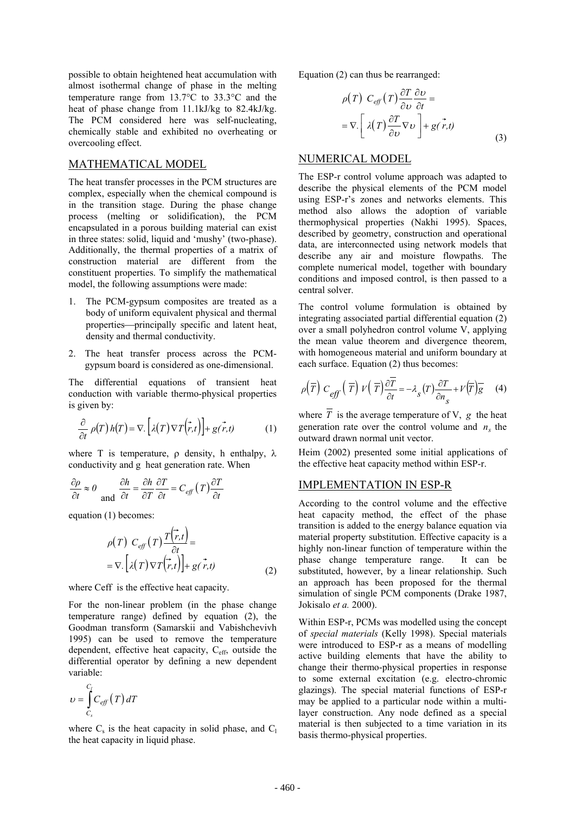possible to obtain heightened heat accumulation with almost isothermal change of phase in the melting temperature range from 13.7°C to 33.3°C and the heat of phase change from 11.1kJ/kg to 82.4kJ/kg. The PCM considered here was self-nucleating, chemically stable and exhibited no overheating or overcooling effect.

## MATHEMATICAL MODEL

The heat transfer processes in the PCM structures are complex, especially when the chemical compound is in the transition stage. During the phase change process (melting or solidification), the PCM encapsulated in a porous building material can exist in three states: solid, liquid and 'mushy' (two-phase). Additionally, the thermal properties of a matrix of construction material are different from the constituent properties. To simplify the mathematical model, the following assumptions were made:

- 1. The PCM-gypsum composites are treated as a body of uniform equivalent physical and thermal properties—principally specific and latent heat, density and thermal conductivity.
- 2. The heat transfer process across the PCMgypsum board is considered as one-dimensional.

The differential equations of transient heat conduction with variable thermo-physical properties is given by:

$$
\frac{\partial}{\partial t} \rho(T) h(T) = \nabla \left[ \lambda(T) \nabla T(\vec{r}, t) \right] + g(\vec{r}, t) \tag{1}
$$

where T is temperature,  $\rho$  density, h enthalpy,  $\lambda$ conductivity and g heat generation rate. When

$$
\frac{\partial \rho}{\partial t} \approx 0 \quad \frac{\partial h}{\partial t} = \frac{\partial h}{\partial T} \frac{\partial T}{\partial t} = C_{\text{eff}}(T) \frac{\partial T}{\partial t}
$$

equation (1) becomes:

$$
\rho(T) C_{\text{eff}}(T) \frac{T(\vec{r},t)}{\partial t} = \nabla \left[ \lambda(T) \nabla T(\vec{r},t) \right] + g(\vec{r},t) \tag{2}
$$

where Ceff is the effective heat capacity.

For the non-linear problem (in the phase change temperature range) defined by equation (2), the Goodman transform (Samarskii and Vabishchevivh 1995) can be used to remove the temperature dependent, effective heat capacity,  $C_{\text{eff}}$ , outside the differential operator by defining a new dependent variable:

$$
v = \int_{C_s}^{C_l} C_{\text{eff}}(T) dT
$$

where  $C_s$  is the heat capacity in solid phase, and  $C_l$ the heat capacity in liquid phase.

Equation (2) can thus be rearranged:

$$
\rho(T) C_{eff}(T) \frac{\partial T}{\partial v} \frac{\partial v}{\partial t} =
$$
  
=  $\nabla \cdot \left[ \lambda(T) \frac{\partial T}{\partial v} \nabla v \right] + g(\vec{r}, t)$  (3)

### NUMERICAL MODEL

The ESP-r control volume approach was adapted to describe the physical elements of the PCM model using ESP-r's zones and networks elements. This method also allows the adoption of variable thermophysical properties (Nakhi 1995). Spaces, described by geometry, construction and operational data, are interconnected using network models that describe any air and moisture flowpaths. The complete numerical model, together with boundary conditions and imposed control, is then passed to a central solver.

The control volume formulation is obtained by integrating associated partial differential equation (2) over a small polyhedron control volume V, applying the mean value theorem and divergence theorem, with homogeneous material and uniform boundary at each surface. Equation (2) thus becomes:

$$
\rho(\overline{T}) C_{eff}(\overline{T}) \nu(\overline{T}) \frac{\partial \overline{T}}{\partial t} = -\lambda_s(T) \frac{\partial T}{\partial n_s} + \nu(\overline{T}) \overline{g}
$$
 (4)

where  $\overline{T}$  is the average temperature of V, g the heat generation rate over the control volume and  $n<sub>s</sub>$  the outward drawn normal unit vector.

Heim (2002) presented some initial applications of the effective heat capacity method within ESP-r.

#### IMPLEMENTATION IN ESP-R

According to the control volume and the effective heat capacity method, the effect of the phase transition is added to the energy balance equation via material property substitution. Effective capacity is a highly non-linear function of temperature within the phase change temperature range. It can be substituted, however, by a linear relationship. Such an approach has been proposed for the thermal simulation of single PCM components (Drake 1987, Jokisalo *et a.* 2000).

Within ESP-r, PCMs was modelled using the concept of *special materials* (Kelly 1998). Special materials were introduced to ESP-r as a means of modelling active building elements that have the ability to change their thermo-physical properties in response to some external excitation (e.g. electro-chromic glazings). The special material functions of ESP-r may be applied to a particular node within a multilayer construction. Any node defined as a special material is then subjected to a time variation in its basis thermo-physical properties.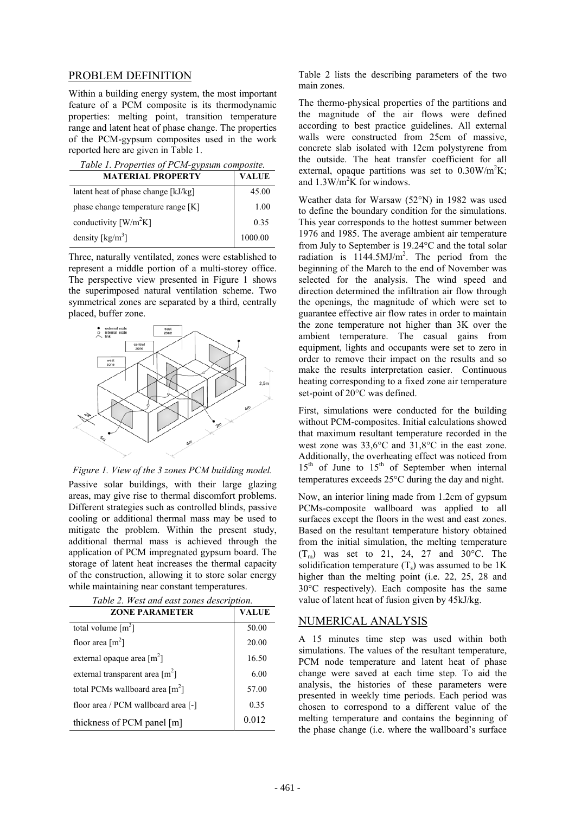#### PROBLEM DEFINITION

Within a building energy system, the most important feature of a PCM composite is its thermodynamic properties: melting point, transition temperature range and latent heat of phase change. The properties of the PCM-gypsum composites used in the work reported here are given in Table 1.

*Table 1. Properties of PCM-gypsum composite.*

| <b>MATERIAL PROPERTY</b>              | <b>VALUE</b> |
|---------------------------------------|--------------|
| latent heat of phase change [kJ/kg]   | 45.00        |
| phase change temperature range [K]    | 1.00         |
| conductivity $\left[W/m^2K\right]$    | 0.35         |
| density $\lceil \text{kg/m}^3 \rceil$ | 1000.00      |

Three, naturally ventilated, zones were established to represent a middle portion of a multi-storey office. The perspective view presented in Figure 1 shows the superimposed natural ventilation scheme. Two symmetrical zones are separated by a third, centrally placed, buffer zone.



*Figure 1. View of the 3 zones PCM building model.*

Passive solar buildings, with their large glazing areas, may give rise to thermal discomfort problems. Different strategies such as controlled blinds, passive cooling or additional thermal mass may be used to mitigate the problem. Within the present study, additional thermal mass is achieved through the application of PCM impregnated gypsum board. The storage of latent heat increases the thermal capacity of the construction, allowing it to store solar energy while maintaining near constant temperatures.

| Table 2, <i>west and east zones description</i> , |              |
|---------------------------------------------------|--------------|
| <b>ZONE PARAMETER</b>                             | <b>VALUE</b> |
| total volume $\lceil m^3 \rceil$                  | 50.00        |
| floor area $\lceil m^2 \rceil$                    | 20.00        |
| external opaque area $[m^2]$                      | 16.50        |
| external transparent area $\lceil m^2 \rceil$     | 6.00         |
| total PCMs wallboard area $\lceil m^2 \rceil$     | 57.00        |
| floor area / PCM wallboard area [-]               | 0.35         |
| thickness of PCM panel [m]                        | 0.012        |

*Table 2. West and east zones description.*

Table 2 lists the describing parameters of the two main zones.

The thermo-physical properties of the partitions and the magnitude of the air flows were defined according to best practice guidelines. All external walls were constructed from 25cm of massive, concrete slab isolated with 12cm polystyrene from the outside. The heat transfer coefficient for all external, opaque partitions was set to  $0.30 \text{W/m}^2\text{K}$ ; and 1.3W/m<sup>2</sup>K for windows.

Weather data for Warsaw (52°N) in 1982 was used to define the boundary condition for the simulations. This year corresponds to the hottest summer between 1976 and 1985. The average ambient air temperature from July to September is 19.24°C and the total solar radiation is  $1144.5 MJ/m<sup>2</sup>$ . The period from the beginning of the March to the end of November was selected for the analysis. The wind speed and direction determined the infiltration air flow through the openings, the magnitude of which were set to guarantee effective air flow rates in order to maintain the zone temperature not higher than 3K over the ambient temperature. The casual gains from equipment, lights and occupants were set to zero in order to remove their impact on the results and so make the results interpretation easier. Continuous heating corresponding to a fixed zone air temperature set-point of 20°C was defined.

First, simulations were conducted for the building without PCM-composites. Initial calculations showed that maximum resultant temperature recorded in the west zone was 33,6°C and 31,8°C in the east zone. Additionally, the overheating effect was noticed from  $15<sup>th</sup>$  of June to  $15<sup>th</sup>$  of September when internal temperatures exceeds 25°C during the day and night.

Now, an interior lining made from 1.2cm of gypsum PCMs-composite wallboard was applied to all surfaces except the floors in the west and east zones. Based on the resultant temperature history obtained from the initial simulation, the melting temperature  $(T_m)$  was set to 21, 24, 27 and 30°C. The solidification temperature  $(T_s)$  was assumed to be 1K higher than the melting point (i.e. 22, 25, 28 and 30°C respectively). Each composite has the same value of latent heat of fusion given by 45kJ/kg.

### NUMERICAL ANALYSIS

A 15 minutes time step was used within both simulations. The values of the resultant temperature, PCM node temperature and latent heat of phase change were saved at each time step. To aid the analysis, the histories of these parameters were presented in weekly time periods. Each period was chosen to correspond to a different value of the melting temperature and contains the beginning of the phase change (i.e. where the wallboard's surface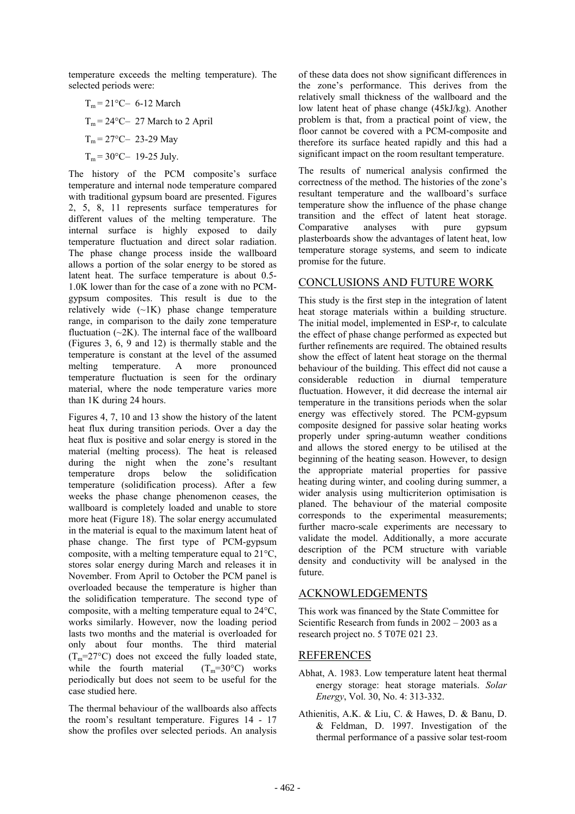temperature exceeds the melting temperature). The selected periods were:

 $T_m = 21$ °C- 6-12 March  $T_m = 24$ °C- 27 March to 2 April  $T_m = 27$ °C $- 23$ -29 May  $T_m = 30^{\circ}C - 19 - 25$  July.

The history of the PCM composite's surface temperature and internal node temperature compared with traditional gypsum board are presented. Figures 2, 5, 8, 11 represents surface temperatures for different values of the melting temperature. The internal surface is highly exposed to daily temperature fluctuation and direct solar radiation. The phase change process inside the wallboard allows a portion of the solar energy to be stored as latent heat. The surface temperature is about 0.5- 1.0K lower than for the case of a zone with no PCMgypsum composites. This result is due to the relatively wide  $(-1K)$  phase change temperature range, in comparison to the daily zone temperature fluctuation  $(-2K)$ . The internal face of the wallboard (Figures 3, 6, 9 and 12) is thermally stable and the temperature is constant at the level of the assumed melting temperature. A more pronounced temperature fluctuation is seen for the ordinary material, where the node temperature varies more than 1K during 24 hours.

Figures 4, 7, 10 and 13 show the history of the latent heat flux during transition periods. Over a day the heat flux is positive and solar energy is stored in the material (melting process). The heat is released during the night when the zone's resultant temperature drops below the solidification temperature (solidification process). After a few weeks the phase change phenomenon ceases, the wallboard is completely loaded and unable to store more heat (Figure 18). The solar energy accumulated in the material is equal to the maximum latent heat of phase change. The first type of PCM-gypsum composite, with a melting temperature equal to 21°C, stores solar energy during March and releases it in November. From April to October the PCM panel is overloaded because the temperature is higher than the solidification temperature. The second type of composite, with a melting temperature equal to 24°C, works similarly. However, now the loading period lasts two months and the material is overloaded for only about four months. The third material  $(T_m=27^{\circ}C)$  does not exceed the fully loaded state, while the fourth material  $(T_m=30^{\circ}C)$  works periodically but does not seem to be useful for the case studied here.

The thermal behaviour of the wallboards also affects the room's resultant temperature. Figures 14 - 17 show the profiles over selected periods. An analysis of these data does not show significant differences in the zone's performance. This derives from the relatively small thickness of the wallboard and the low latent heat of phase change (45kJ/kg). Another problem is that, from a practical point of view, the floor cannot be covered with a PCM-composite and therefore its surface heated rapidly and this had a significant impact on the room resultant temperature.

The results of numerical analysis confirmed the correctness of the method. The histories of the zone's resultant temperature and the wallboard's surface temperature show the influence of the phase change transition and the effect of latent heat storage. Comparative analyses with pure gypsum plasterboards show the advantages of latent heat, low temperature storage systems, and seem to indicate promise for the future.

## CONCLUSIONS AND FUTURE WORK

This study is the first step in the integration of latent heat storage materials within a building structure. The initial model, implemented in ESP-r, to calculate the effect of phase change performed as expected but further refinements are required. The obtained results show the effect of latent heat storage on the thermal behaviour of the building. This effect did not cause a considerable reduction in diurnal temperature fluctuation. However, it did decrease the internal air temperature in the transitions periods when the solar energy was effectively stored. The PCM-gypsum composite designed for passive solar heating works properly under spring-autumn weather conditions and allows the stored energy to be utilised at the beginning of the heating season. However, to design the appropriate material properties for passive heating during winter, and cooling during summer, a wider analysis using multicriterion optimisation is planed. The behaviour of the material composite corresponds to the experimental measurements; further macro-scale experiments are necessary to validate the model. Additionally, a more accurate description of the PCM structure with variable density and conductivity will be analysed in the future.

### ACKNOWLEDGEMENTS

This work was financed by the State Committee for Scientific Research from funds in 2002 – 2003 as a research project no. 5 T07E 021 23.

### REFERENCES

- Abhat, A. 1983. Low temperature latent heat thermal energy storage: heat storage materials. *Solar Energy*, Vol. 30, No. 4: 313-332.
- Athienitis, A.K. & Liu, C. & Hawes, D. & Banu, D. & Feldman, D. 1997. Investigation of the thermal performance of a passive solar test-room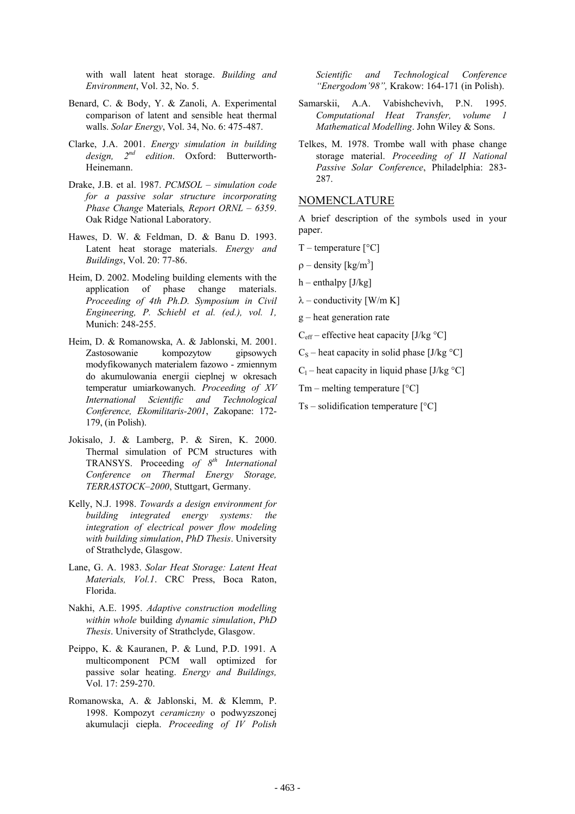with wall latent heat storage. *Building and Environment*, Vol. 32, No. 5.

- Benard, C. & Body, Y. & Zanoli, A. Experimental comparison of latent and sensible heat thermal walls. *Solar Energy*, Vol. 34, No. 6: 475-487.
- Clarke, J.A. 2001. *Energy simulation in building design, 2nd edition*. Oxford: Butterworth-Heinemann.
- Drake, J.B. et al. 1987. *PCMSOL simulation code for a passive solar structure incorporating Phase Change* Materials*, Report ORNL – 6359*. Oak Ridge National Laboratory.
- Hawes, D. W. & Feldman, D. & Banu D. 1993. Latent heat storage materials. *Energy and Buildings*, Vol. 20: 77-86.
- Heim, D. 2002. Modeling building elements with the application of phase change materials. *Proceeding of 4th Ph.D. Symposium in Civil Engineering, P. Schiebl et al. (ed.), vol. 1,* Munich: 248-255.
- Heim, D. & Romanowska, A. & Jablonski, M. 2001. Zastosowanie kompozytow gipsowych modyfikowanych materialem fazowo - zmiennym do akumulowania energii cieplnej w okresach temperatur umiarkowanych. *Proceeding of XV International Scientific and Technological Conference, Ekomilitaris-2001*, Zakopane: 172- 179, (in Polish).
- Jokisalo, J. & Lamberg, P. & Siren, K. 2000. Thermal simulation of PCM structures with TRANSYS. Proceeding *of 8th International Conference on Thermal Energy Storage, TERRASTOCK–2000*, Stuttgart, Germany.
- Kelly, N.J. 1998. *Towards a design environment for building integrated energy systems: the integration of electrical power flow modeling with building simulation*, *PhD Thesis*. University of Strathclyde, Glasgow.
- Lane, G. A. 1983. *Solar Heat Storage: Latent Heat Materials, Vol.1*. CRC Press, Boca Raton, Florida.
- Nakhi, A.E. 1995. *Adaptive construction modelling within whole* building *dynamic simulation*, *PhD Thesis*. University of Strathclyde, Glasgow.
- Peippo, K. & Kauranen, P. & Lund, P.D. 1991. A multicomponent PCM wall optimized for passive solar heating. *Energy and Buildings,* Vol. 17: 259-270.
- Romanowska, A. & Jablonski, M. & Klemm, P. 1998. Kompozyt *ceramiczny* o podwyzszonej akumulacji ciepła. *Proceeding of IV Polish*

*Scientific and Technological Conference "Energodom'98",* Krakow: 164-171 (in Polish).

- Samarskii, A.A. Vabishchevivh, P.N. 1995. *Computational Heat Transfer, volume 1 Mathematical Modelling*. John Wiley & Sons.
- Telkes, M. 1978. Trombe wall with phase change storage material. *Proceeding of II National Passive Solar Conference*, Philadelphia: 283- 287.

#### NOMENCLATURE

A brief description of the symbols used in your paper.

- T temperature  $\lceil$ °C]
- $p$  density [kg/m<sup>3</sup>]
- $h$  enthalpy [J/kg]
- $\lambda$  conductivity [W/m K]
- g heat generation rate
- $C_{\text{eff}}$  effective heat capacity [J/kg  $^{\circ}C$ ]
- $C<sub>S</sub>$  heat capacity in solid phase [J/kg  $^{\circ}C$ ]
- $C_1$  heat capacity in liquid phase [J/kg  $°C$ ]
- $Tm$  melting temperature  $[^{\circ}C]$
- $Ts$  solidification temperature  $[°C]$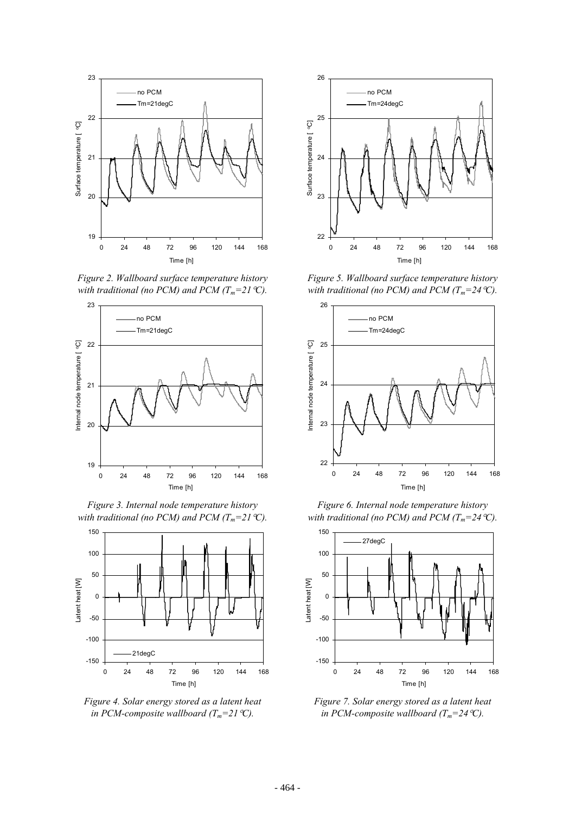

*Figure 2. Wallboard surface temperature history with traditional (no PCM) and PCM (T<sub>m</sub>=21 °C).* 



*Figure 3. Internal node temperature history with traditional (no PCM) and PCM (* $T_m$ *=21* °C).



*Figure 4. Solar energy stored as a latent heat in PCM-composite wallboard*  $(T_m=21 \text{ °C})$ .



*Figure 5. Wallboard surface temperature history with traditional (no PCM) and PCM (T<sub>m</sub>=24 °C).* 



*Figure 6. Internal node temperature history with traditional (no PCM) and PCM (* $T_m$ *=24* °*C)*.



*Figure 7. Solar energy stored as a latent heat in PCM-composite wallboard*  $(T_m=24 \text{ °C})$ .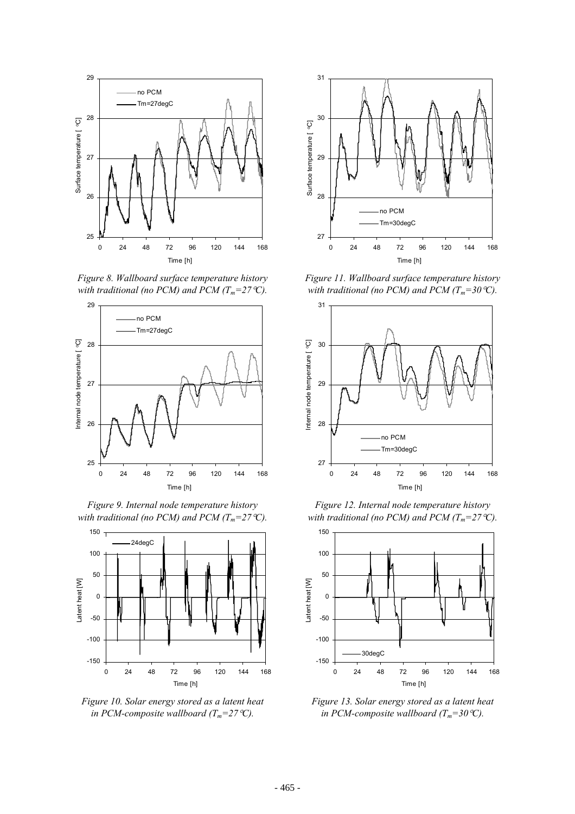

*Figure 8. Wallboard surface temperature history with traditional (no PCM) and PCM (T<sub>m</sub>=27 °C).* 



*Figure 9. Internal node temperature history with traditional (no PCM) and PCM (* $T_m$ *=27* °C).



*Figure 10. Solar energy stored as a latent heat in PCM-composite wallboard (T<sub>m</sub>=27°C).* 



*Figure 11. Wallboard surface temperature history with traditional (no PCM) and PCM (* $T_m$ *=30 °C).* 



*Figure 12. Internal node temperature history with traditional (no PCM) and PCM (* $T_m$ *=27* °C).



*Figure 13. Solar energy stored as a latent heat in PCM-composite wallboard* ( $T_m$ =30°*C*).